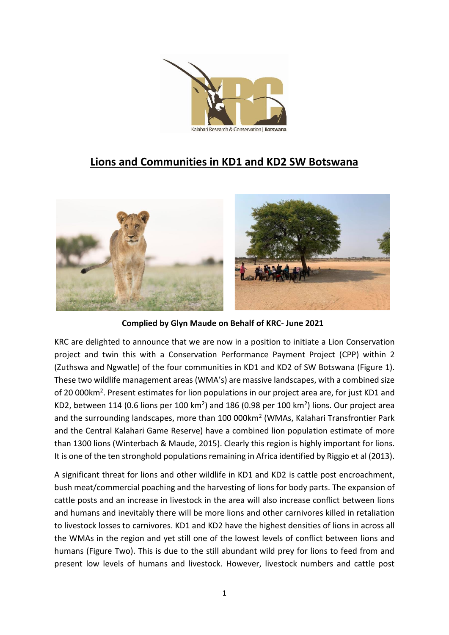

## **Lions and Communities in KD1 and KD2 SW Botswana**



**Complied by Glyn Maude on Behalf of KRC- June 2021**

KRC are delighted to announce that we are now in a position to initiate a Lion Conservation project and twin this with a Conservation Performance Payment Project (CPP) within 2 (Zuthswa and Ngwatle) of the four communities in KD1 and KD2 of SW Botswana (Figure 1). These two wildlife management areas (WMA's) are massive landscapes, with a combined size of 20 000km<sup>2</sup>. Present estimates for lion populations in our project area are, for just KD1 and KD2, between 114 (0.6 lions per 100 km<sup>2</sup>) and 186 (0.98 per 100 km<sup>2</sup>) lions. Our project area and the surrounding landscapes, more than 100 000km<sup>2</sup> (WMAs, Kalahari Transfrontier Park and the Central Kalahari Game Reserve) have a combined lion population estimate of more than 1300 lions (Winterbach & Maude, 2015). Clearly this region is highly important for lions. It is one of the ten stronghold populations remaining in Africa identified by Riggio et al (2013).

A significant threat for lions and other wildlife in KD1 and KD2 is cattle post encroachment, bush meat/commercial poaching and the harvesting of lions for body parts. The expansion of cattle posts and an increase in livestock in the area will also increase conflict between lions and humans and inevitably there will be more lions and other carnivores killed in retaliation to livestock losses to carnivores. KD1 and KD2 have the highest densities of lions in across all the WMAs in the region and yet still one of the lowest levels of conflict between lions and humans (Figure Two). This is due to the still abundant wild prey for lions to feed from and present low levels of humans and livestock. However, livestock numbers and cattle post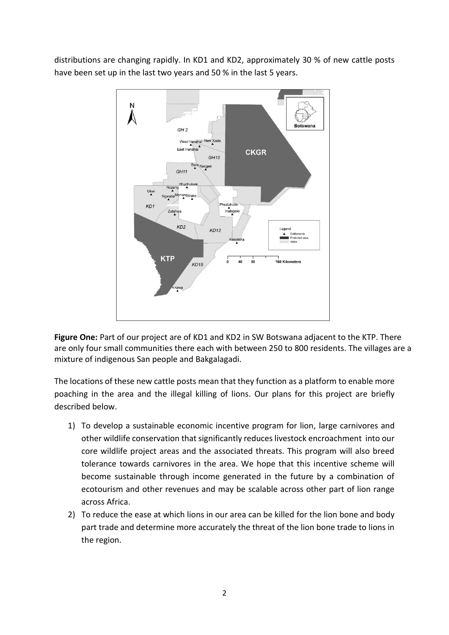distributions are changing rapidly. In KD1 and KD2, approximately 30 % of new cattle posts have been set up in the last two years and 50 % in the last 5 years.



**Figure One:** Part of our project are of KD1 and KD2 in SW Botswana adjacent to the KTP. There are only four small communities there each with between 250 to 800 residents. The villages are a mixture of indigenous San people and Bakgalagadi.

The locations of these new cattle posts mean that they function as a platform to enable more poaching in the area and the illegal killing of lions. Our plans for this project are briefly described below.

- 1) To develop a sustainable economic incentive program for lion, large carnivores and other wildlife conservation that significantly reduces livestock encroachment into our core wildlife project areas and the associated threats. This program will also breed tolerance towards carnivores in the area. We hope that this incentive scheme will become sustainable through income generated in the future by a combination of ecotourism and other revenues and may be scalable across other part of lion range across Africa.
- 2) To reduce the ease at which lions in our area can be killed for the lion bone and body part trade and determine more accurately the threat of the lion bone trade to lions in the region.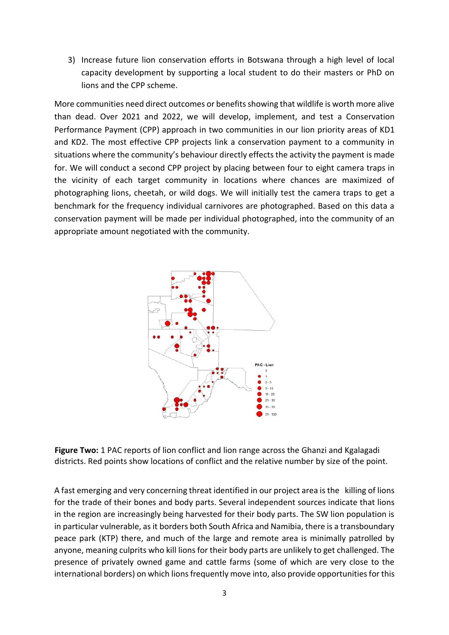3) Increase future lion conservation efforts in Botswana through a high level of local capacity development by supporting a local student to do their masters or PhD on lions and the CPP scheme.

More communities need direct outcomes or benefits showing that wildlife is worth more alive than dead. Over 2021 and 2022, we will develop, implement, and test a Conservation Performance Payment (CPP) approach in two communities in our lion priority areas of KD1 and KD2. The most effective CPP projects link a conservation payment to a community in situations where the community's behaviour directly effects the activity the payment is made for. We will conduct a second CPP project by placing between four to eight camera traps in the vicinity of each target community in locations where chances are maximized of photographing lions, cheetah, or wild dogs. We will initially test the camera traps to get a benchmark for the frequency individual carnivores are photographed. Based on this data a conservation payment will be made per individual photographed, into the community of an appropriate amount negotiated with the community.



 **Figure Two:** 1 PAC reports of lion conflict and lion range across the Ghanzi and Kgalagadi districts. Red points show locations of conflict and the relative number by size of the point.

A fast emerging and very concerning threat identified in our project area is the killing of lions for the trade of their bones and body parts. Several independent sources indicate that lions in the region are increasingly being harvested for their body parts. The SW lion population is in particular vulnerable, as it borders both South Africa and Namibia, there is a transboundary peace park (KTP) there, and much of the large and remote area is minimally patrolled by anyone, meaning culprits who kill lions for their body parts are unlikely to get challenged. The presence of privately owned game and cattle farms (some of which are very close to the international borders) on which lions frequently move into, also provide opportunities for this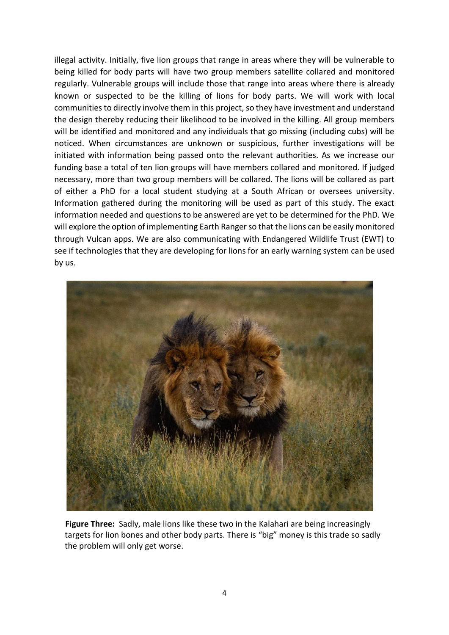illegal activity. Initially, five lion groups that range in areas where they will be vulnerable to being killed for body parts will have two group members satellite collared and monitored regularly. Vulnerable groups will include those that range into areas where there is already known or suspected to be the killing of lions for body parts. We will work with local communities to directly involve them in this project, so they have investment and understand the design thereby reducing their likelihood to be involved in the killing. All group members will be identified and monitored and any individuals that go missing (including cubs) will be noticed. When circumstances are unknown or suspicious, further investigations will be initiated with information being passed onto the relevant authorities. As we increase our funding base a total of ten lion groups will have members collared and monitored. If judged necessary, more than two group members will be collared. The lions will be collared as part of either a PhD for a local student studying at a South African or oversees university. Information gathered during the monitoring will be used as part of this study. The exact information needed and questions to be answered are yet to be determined for the PhD. We will explore the option of implementing Earth Ranger so that the lions can be easily monitored through Vulcan apps. We are also communicating with Endangered Wildlife Trust (EWT) to see if technologies that they are developing for lions for an early warning system can be used by us.



 **Figure Three:** Sadly, male lions like these two in the Kalahari are being increasingly targets for lion bones and other body parts. There is "big" money is this trade so sadly the problem will only get worse.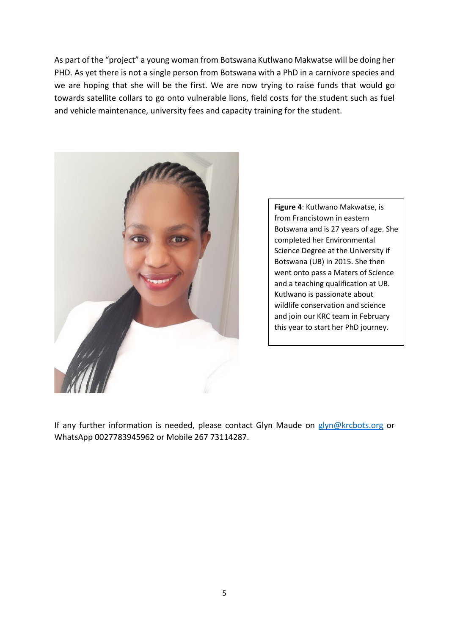As part of the "project" a young woman from Botswana Kutlwano Makwatse will be doing her PHD. As yet there is not a single person from Botswana with a PhD in a carnivore species and we are hoping that she will be the first. We are now trying to raise funds that would go towards satellite collars to go onto vulnerable lions, field costs for the student such as fuel and vehicle maintenance, university fees and capacity training for the student.



**Figure 4**: Kutlwano Makwatse, is from Francistown in eastern Botswana and is 27 years of age. She completed her Environmental Science Degree at the University if Botswana (UB) in 2015. She then went onto pass a Maters of Science and a teaching qualification at UB. Kutlwano is passionate about wildlife conservation and science and join our KRC team in February this year to start her PhD journey.

If any further information is needed, please contact Glyn Maude on [glyn@krcbots.org](mailto:glyn@krcbots.org) or WhatsApp 0027783945962 or Mobile 267 73114287.